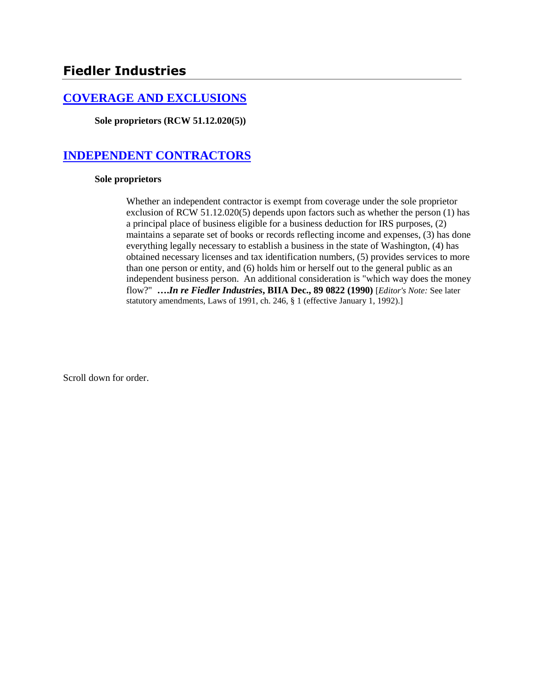# **[COVERAGE AND EXCLUSIONS](http://www.biia.wa.gov/SDSubjectIndex.html#COVERAGE_AND_EXCLUSIONS)**

**Sole proprietors (RCW 51.12.020(5))**

# **[INDEPENDENT CONTRACTORS](http://www.biia.wa.gov/SDSubjectIndex.html#INDEPENDENT_CONTRACTORS)**

#### **Sole proprietors**

Whether an independent contractor is exempt from coverage under the sole proprietor exclusion of RCW 51.12.020(5) depends upon factors such as whether the person (1) has a principal place of business eligible for a business deduction for IRS purposes, (2) maintains a separate set of books or records reflecting income and expenses, (3) has done everything legally necessary to establish a business in the state of Washington, (4) has obtained necessary licenses and tax identification numbers, (5) provides services to more than one person or entity, and (6) holds him or herself out to the general public as an independent business person. An additional consideration is "which way does the money flow?" **….***In re Fiedler Industries***, BIIA Dec., 89 0822 (1990)** [*Editor's Note:* See later statutory amendments, Laws of 1991, ch. 246, § 1 (effective January 1, 1992).]

Scroll down for order.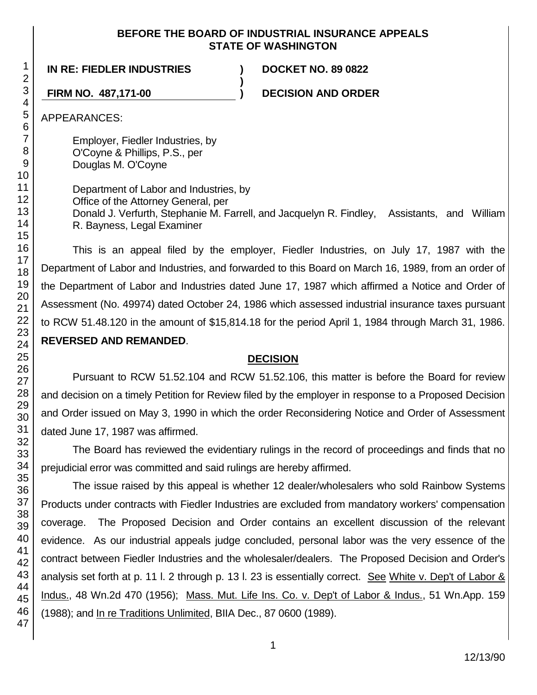## **BEFORE THE BOARD OF INDUSTRIAL INSURANCE APPEALS STATE OF WASHINGTON**

**)**

## **IN RE: FIEDLER INDUSTRIES ) DOCKET NO. 89 0822**

**FIRM NO. 487,171-00 ) DECISION AND ORDER**

APPEARANCES:

Employer, Fiedler Industries, by O'Coyne & Phillips, P.S., per Douglas M. O'Coyne

Department of Labor and Industries, by Office of the Attorney General, per Donald J. Verfurth, Stephanie M. Farrell, and Jacquelyn R. Findley, Assistants, and William R. Bayness, Legal Examiner

This is an appeal filed by the employer, Fiedler Industries, on July 17, 1987 with the Department of Labor and Industries, and forwarded to this Board on March 16, 1989, from an order of the Department of Labor and Industries dated June 17, 1987 which affirmed a Notice and Order of Assessment (No. 49974) dated October 24, 1986 which assessed industrial insurance taxes pursuant to RCW 51.48.120 in the amount of \$15,814.18 for the period April 1, 1984 through March 31, 1986. **REVERSED AND REMANDED**.

# **DECISION**

Pursuant to RCW 51.52.104 and RCW 51.52.106, this matter is before the Board for review and decision on a timely Petition for Review filed by the employer in response to a Proposed Decision and Order issued on May 3, 1990 in which the order Reconsidering Notice and Order of Assessment dated June 17, 1987 was affirmed.

The Board has reviewed the evidentiary rulings in the record of proceedings and finds that no prejudicial error was committed and said rulings are hereby affirmed.

The issue raised by this appeal is whether 12 dealer/wholesalers who sold Rainbow Systems Products under contracts with Fiedler Industries are excluded from mandatory workers' compensation coverage. The Proposed Decision and Order contains an excellent discussion of the relevant evidence. As our industrial appeals judge concluded, personal labor was the very essence of the contract between Fiedler Industries and the wholesaler/dealers. The Proposed Decision and Order's analysis set forth at p. 11 l. 2 through p. 13 l. 23 is essentially correct. See White v. Dep't of Labor & Indus., 48 Wn.2d 470 (1956); Mass. Mut. Life Ins. Co. v. Dep't of Labor & Indus., 51 Wn.App. 159 (1988); and In re Traditions Unlimited, BIIA Dec., 87 0600 (1989).

47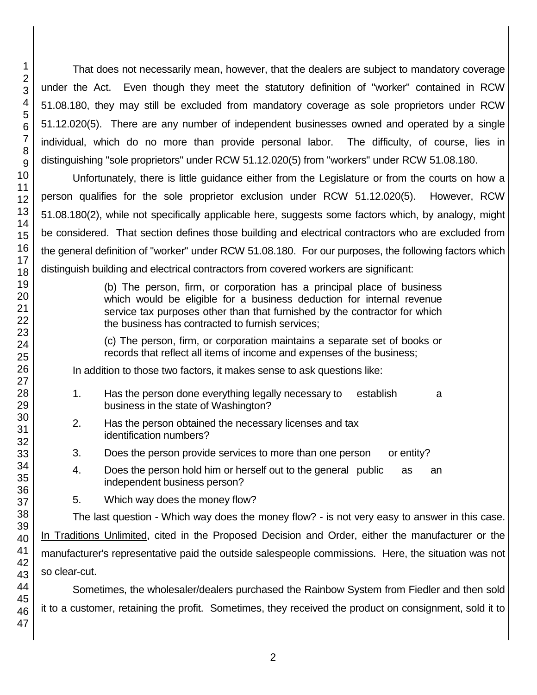That does not necessarily mean, however, that the dealers are subject to mandatory coverage under the Act. Even though they meet the statutory definition of "worker" contained in RCW 51.08.180, they may still be excluded from mandatory coverage as sole proprietors under RCW 51.12.020(5). There are any number of independent businesses owned and operated by a single individual, which do no more than provide personal labor. The difficulty, of course, lies in distinguishing "sole proprietors" under RCW 51.12.020(5) from "workers" under RCW 51.08.180.

Unfortunately, there is little guidance either from the Legislature or from the courts on how a person qualifies for the sole proprietor exclusion under RCW 51.12.020(5). However, RCW 51.08.180(2), while not specifically applicable here, suggests some factors which, by analogy, might be considered. That section defines those building and electrical contractors who are excluded from the general definition of "worker" under RCW 51.08.180. For our purposes, the following factors which distinguish building and electrical contractors from covered workers are significant:

> (b) The person, firm, or corporation has a principal place of business which would be eligible for a business deduction for internal revenue service tax purposes other than that furnished by the contractor for which the business has contracted to furnish services;

> (c) The person, firm, or corporation maintains a separate set of books or records that reflect all items of income and expenses of the business;

In addition to those two factors, it makes sense to ask questions like:

- 1. Has the person done everything legally necessary to establish a business in the state of Washington?
- 2. Has the person obtained the necessary licenses and tax identification numbers?
- 3. Does the person provide services to more than one person or entity?
- 4. Does the person hold him or herself out to the general public as an independent business person?
- 5. Which way does the money flow?

The last question - Which way does the money flow? - is not very easy to answer in this case. In Traditions Unlimited, cited in the Proposed Decision and Order, either the manufacturer or the manufacturer's representative paid the outside salespeople commissions. Here, the situation was not so clear-cut.

Sometimes, the wholesaler/dealers purchased the Rainbow System from Fiedler and then sold it to a customer, retaining the profit. Sometimes, they received the product on consignment, sold it to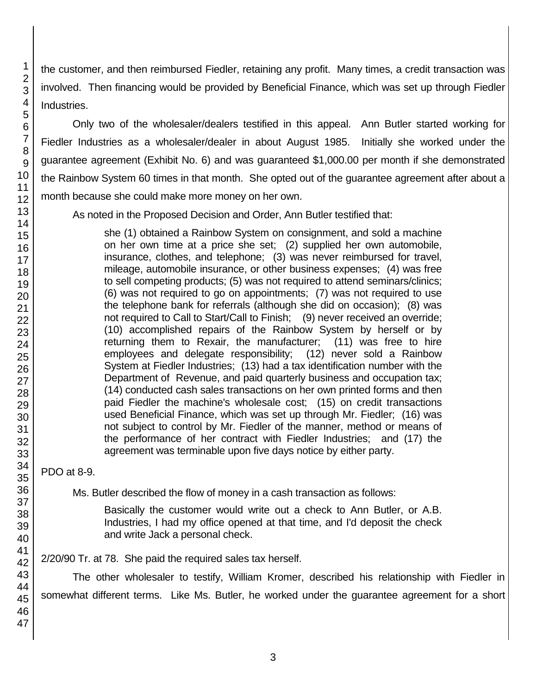the customer, and then reimbursed Fiedler, retaining any profit. Many times, a credit transaction was involved. Then financing would be provided by Beneficial Finance, which was set up through Fiedler Industries.

Only two of the wholesaler/dealers testified in this appeal. Ann Butler started working for Fiedler Industries as a wholesaler/dealer in about August 1985. Initially she worked under the guarantee agreement (Exhibit No. 6) and was guaranteed \$1,000.00 per month if she demonstrated the Rainbow System 60 times in that month. She opted out of the guarantee agreement after about a month because she could make more money on her own.

As noted in the Proposed Decision and Order, Ann Butler testified that:

she (1) obtained a Rainbow System on consignment, and sold a machine on her own time at a price she set; (2) supplied her own automobile, insurance, clothes, and telephone; (3) was never reimbursed for travel, mileage, automobile insurance, or other business expenses; (4) was free to sell competing products; (5) was not required to attend seminars/clinics; (6) was not required to go on appointments; (7) was not required to use the telephone bank for referrals (although she did on occasion); (8) was not required to Call to Start/Call to Finish; (9) never received an override; (10) accomplished repairs of the Rainbow System by herself or by returning them to Rexair, the manufacturer; (11) was free to hire employees and delegate responsibility; (12) never sold a Rainbow System at Fiedler Industries; (13) had a tax identification number with the Department of Revenue, and paid quarterly business and occupation tax; (14) conducted cash sales transactions on her own printed forms and then paid Fiedler the machine's wholesale cost; (15) on credit transactions used Beneficial Finance, which was set up through Mr. Fiedler; (16) was not subject to control by Mr. Fiedler of the manner, method or means of the performance of her contract with Fiedler Industries; and (17) the agreement was terminable upon five days notice by either party.

PDO at 8-9.

Ms. Butler described the flow of money in a cash transaction as follows:

Basically the customer would write out a check to Ann Butler, or A.B. Industries, I had my office opened at that time, and I'd deposit the check and write Jack a personal check.

2/20/90 Tr. at 78. She paid the required sales tax herself.

The other wholesaler to testify, William Kromer, described his relationship with Fiedler in somewhat different terms. Like Ms. Butler, he worked under the guarantee agreement for a short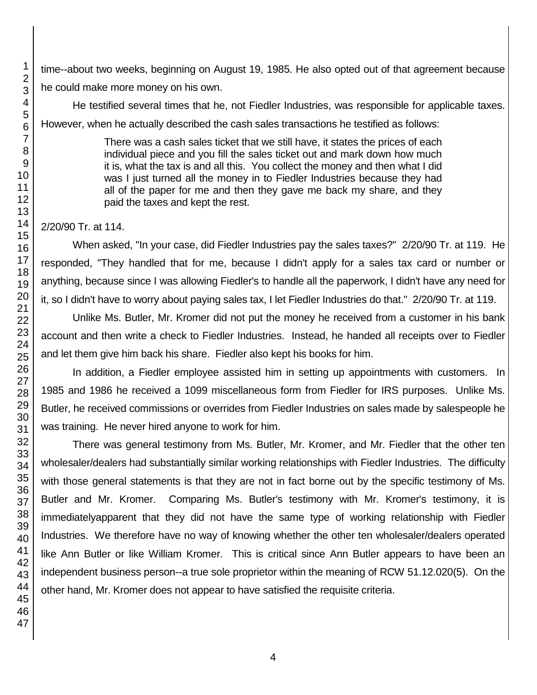time--about two weeks, beginning on August 19, 1985. He also opted out of that agreement because he could make more money on his own.

He testified several times that he, not Fiedler Industries, was responsible for applicable taxes. However, when he actually described the cash sales transactions he testified as follows:

> There was a cash sales ticket that we still have, it states the prices of each individual piece and you fill the sales ticket out and mark down how much it is, what the tax is and all this. You collect the money and then what I did was I just turned all the money in to Fiedler Industries because they had all of the paper for me and then they gave me back my share, and they paid the taxes and kept the rest.

# 2/20/90 Tr. at 114.

When asked, "In your case, did Fiedler Industries pay the sales taxes?" 2/20/90 Tr. at 119. He responded, "They handled that for me, because I didn't apply for a sales tax card or number or anything, because since I was allowing Fiedler's to handle all the paperwork, I didn't have any need for it, so I didn't have to worry about paying sales tax, I let Fiedler Industries do that." 2/20/90 Tr. at 119.

Unlike Ms. Butler, Mr. Kromer did not put the money he received from a customer in his bank account and then write a check to Fiedler Industries. Instead, he handed all receipts over to Fiedler and let them give him back his share. Fiedler also kept his books for him.

In addition, a Fiedler employee assisted him in setting up appointments with customers. In 1985 and 1986 he received a 1099 miscellaneous form from Fiedler for IRS purposes. Unlike Ms. Butler, he received commissions or overrides from Fiedler Industries on sales made by salespeople he was training. He never hired anyone to work for him.

There was general testimony from Ms. Butler, Mr. Kromer, and Mr. Fiedler that the other ten wholesaler/dealers had substantially similar working relationships with Fiedler Industries. The difficulty with those general statements is that they are not in fact borne out by the specific testimony of Ms. Butler and Mr. Kromer. Comparing Ms. Butler's testimony with Mr. Kromer's testimony, it is immediatelyapparent that they did not have the same type of working relationship with Fiedler Industries. We therefore have no way of knowing whether the other ten wholesaler/dealers operated like Ann Butler or like William Kromer. This is critical since Ann Butler appears to have been an independent business person--a true sole proprietor within the meaning of RCW 51.12.020(5). On the other hand, Mr. Kromer does not appear to have satisfied the requisite criteria.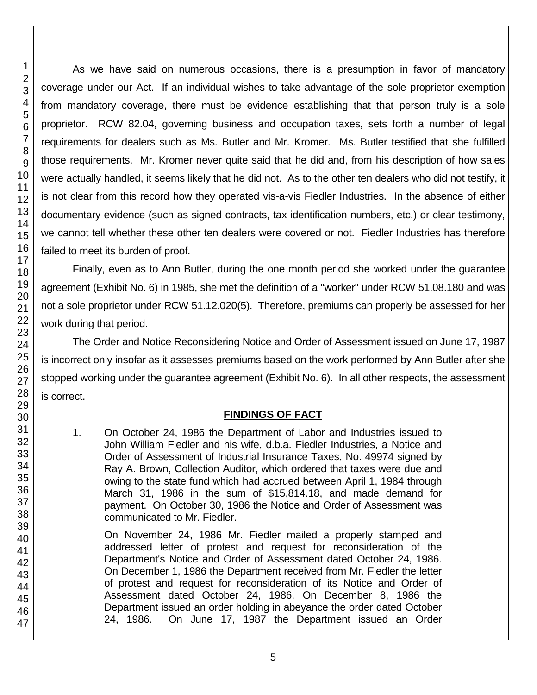As we have said on numerous occasions, there is a presumption in favor of mandatory coverage under our Act. If an individual wishes to take advantage of the sole proprietor exemption from mandatory coverage, there must be evidence establishing that that person truly is a sole proprietor. RCW 82.04, governing business and occupation taxes, sets forth a number of legal requirements for dealers such as Ms. Butler and Mr. Kromer. Ms. Butler testified that she fulfilled those requirements. Mr. Kromer never quite said that he did and, from his description of how sales were actually handled, it seems likely that he did not. As to the other ten dealers who did not testify, it is not clear from this record how they operated vis-a-vis Fiedler Industries. In the absence of either documentary evidence (such as signed contracts, tax identification numbers, etc.) or clear testimony, we cannot tell whether these other ten dealers were covered or not. Fiedler Industries has therefore failed to meet its burden of proof.

Finally, even as to Ann Butler, during the one month period she worked under the guarantee agreement (Exhibit No. 6) in 1985, she met the definition of a "worker" under RCW 51.08.180 and was not a sole proprietor under RCW 51.12.020(5). Therefore, premiums can properly be assessed for her work during that period.

The Order and Notice Reconsidering Notice and Order of Assessment issued on June 17, 1987 is incorrect only insofar as it assesses premiums based on the work performed by Ann Butler after she stopped working under the guarantee agreement (Exhibit No. 6). In all other respects, the assessment is correct.

## **FINDINGS OF FACT**

1. On October 24, 1986 the Department of Labor and Industries issued to John William Fiedler and his wife, d.b.a. Fiedler Industries, a Notice and Order of Assessment of Industrial Insurance Taxes, No. 49974 signed by Ray A. Brown, Collection Auditor, which ordered that taxes were due and owing to the state fund which had accrued between April 1, 1984 through March 31, 1986 in the sum of \$15,814.18, and made demand for payment. On October 30, 1986 the Notice and Order of Assessment was communicated to Mr. Fiedler.

On November 24, 1986 Mr. Fiedler mailed a properly stamped and addressed letter of protest and request for reconsideration of the Department's Notice and Order of Assessment dated October 24, 1986. On December 1, 1986 the Department received from Mr. Fiedler the letter of protest and request for reconsideration of its Notice and Order of Assessment dated October 24, 1986. On December 8, 1986 the Department issued an order holding in abeyance the order dated October 24, 1986. On June 17, 1987 the Department issued an Order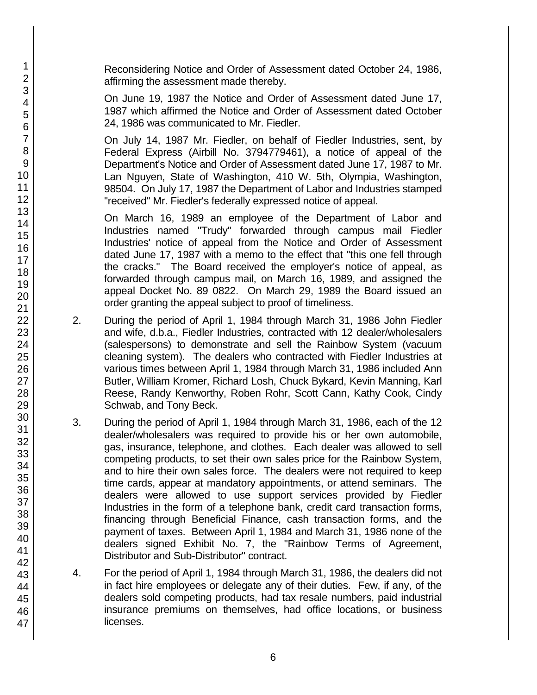Reconsidering Notice and Order of Assessment dated October 24, 1986, affirming the assessment made thereby.

On June 19, 1987 the Notice and Order of Assessment dated June 17, 1987 which affirmed the Notice and Order of Assessment dated October 24, 1986 was communicated to Mr. Fiedler.

On July 14, 1987 Mr. Fiedler, on behalf of Fiedler Industries, sent, by Federal Express (Airbill No. 3794779461), a notice of appeal of the Department's Notice and Order of Assessment dated June 17, 1987 to Mr. Lan Nguyen, State of Washington, 410 W. 5th, Olympia, Washington, 98504. On July 17, 1987 the Department of Labor and Industries stamped "received" Mr. Fiedler's federally expressed notice of appeal.

On March 16, 1989 an employee of the Department of Labor and Industries named "Trudy" forwarded through campus mail Fiedler Industries' notice of appeal from the Notice and Order of Assessment dated June 17, 1987 with a memo to the effect that "this one fell through the cracks." The Board received the employer's notice of appeal, as forwarded through campus mail, on March 16, 1989, and assigned the appeal Docket No. 89 0822. On March 29, 1989 the Board issued an order granting the appeal subject to proof of timeliness.

- 2. During the period of April 1, 1984 through March 31, 1986 John Fiedler and wife, d.b.a., Fiedler Industries, contracted with 12 dealer/wholesalers (salespersons) to demonstrate and sell the Rainbow System (vacuum cleaning system). The dealers who contracted with Fiedler Industries at various times between April 1, 1984 through March 31, 1986 included Ann Butler, William Kromer, Richard Losh, Chuck Bykard, Kevin Manning, Karl Reese, Randy Kenworthy, Roben Rohr, Scott Cann, Kathy Cook, Cindy Schwab, and Tony Beck.
- 3. During the period of April 1, 1984 through March 31, 1986, each of the 12 dealer/wholesalers was required to provide his or her own automobile, gas, insurance, telephone, and clothes. Each dealer was allowed to sell competing products, to set their own sales price for the Rainbow System, and to hire their own sales force. The dealers were not required to keep time cards, appear at mandatory appointments, or attend seminars. The dealers were allowed to use support services provided by Fiedler Industries in the form of a telephone bank, credit card transaction forms, financing through Beneficial Finance, cash transaction forms, and the payment of taxes. Between April 1, 1984 and March 31, 1986 none of the dealers signed Exhibit No. 7, the "Rainbow Terms of Agreement, Distributor and Sub-Distributor" contract.
- 4. For the period of April 1, 1984 through March 31, 1986, the dealers did not in fact hire employees or delegate any of their duties. Few, if any, of the dealers sold competing products, had tax resale numbers, paid industrial insurance premiums on themselves, had office locations, or business licenses.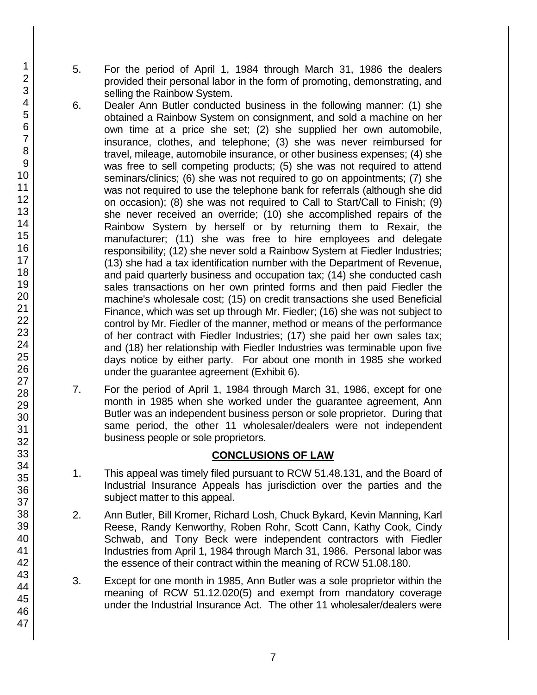- 5. For the period of April 1, 1984 through March 31, 1986 the dealers provided their personal labor in the form of promoting, demonstrating, and selling the Rainbow System.
- 6. Dealer Ann Butler conducted business in the following manner: (1) she obtained a Rainbow System on consignment, and sold a machine on her own time at a price she set; (2) she supplied her own automobile, insurance, clothes, and telephone; (3) she was never reimbursed for travel, mileage, automobile insurance, or other business expenses; (4) she was free to sell competing products; (5) she was not required to attend seminars/clinics; (6) she was not required to go on appointments; (7) she was not required to use the telephone bank for referrals (although she did on occasion); (8) she was not required to Call to Start/Call to Finish; (9) she never received an override; (10) she accomplished repairs of the Rainbow System by herself or by returning them to Rexair, the manufacturer; (11) she was free to hire employees and delegate responsibility; (12) she never sold a Rainbow System at Fiedler Industries; (13) she had a tax identification number with the Department of Revenue, and paid quarterly business and occupation tax; (14) she conducted cash sales transactions on her own printed forms and then paid Fiedler the machine's wholesale cost; (15) on credit transactions she used Beneficial Finance, which was set up through Mr. Fiedler; (16) she was not subject to control by Mr. Fiedler of the manner, method or means of the performance of her contract with Fiedler Industries; (17) she paid her own sales tax; and (18) her relationship with Fiedler Industries was terminable upon five days notice by either party. For about one month in 1985 she worked under the guarantee agreement (Exhibit 6).
- 7. For the period of April 1, 1984 through March 31, 1986, except for one month in 1985 when she worked under the guarantee agreement, Ann Butler was an independent business person or sole proprietor. During that same period, the other 11 wholesaler/dealers were not independent business people or sole proprietors.

# **CONCLUSIONS OF LAW**

- 1. This appeal was timely filed pursuant to RCW 51.48.131, and the Board of Industrial Insurance Appeals has jurisdiction over the parties and the subject matter to this appeal.
- 2. Ann Butler, Bill Kromer, Richard Losh, Chuck Bykard, Kevin Manning, Karl Reese, Randy Kenworthy, Roben Rohr, Scott Cann, Kathy Cook, Cindy Schwab, and Tony Beck were independent contractors with Fiedler Industries from April 1, 1984 through March 31, 1986. Personal labor was the essence of their contract within the meaning of RCW 51.08.180.
- 3. Except for one month in 1985, Ann Butler was a sole proprietor within the meaning of RCW 51.12.020(5) and exempt from mandatory coverage under the Industrial Insurance Act. The other 11 wholesaler/dealers were
- 1 2 3 4 5 6 7 8 9 10 11 12 13 14 15 16 17 18 19 20 21 22 23 24 25 26 27 28 29 30 31 32 33 34 35 36 37 38 39 40 41 42 43 44 45 46 47